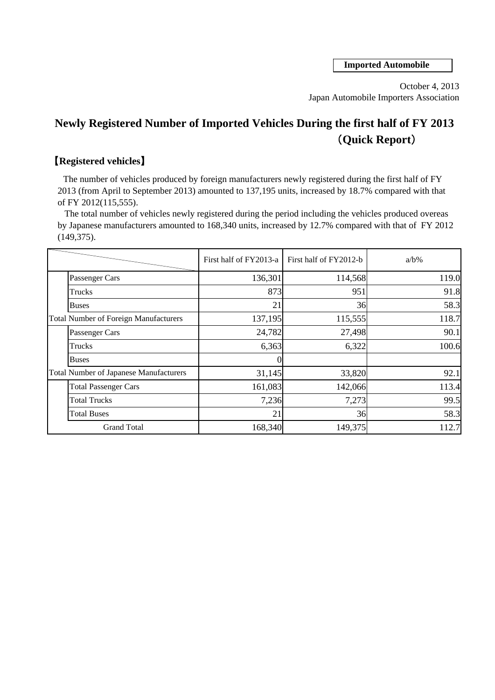**Imported Automobile**

October 4, 2013 Japan Automobile Importers Association

## **Newly Registered Number of Imported Vehicles During the first half of FY 2013** (**Quick Report**)

## 【**Registered vehicles**】

 The number of vehicles produced by foreign manufacturers newly registered during the first half of FY 2013 (from April to September 2013) amounted to 137,195 units, increased by 18.7% compared with that of FY 2012(115,555).

 The total number of vehicles newly registered during the period including the vehicles produced overeas by Japanese manufacturers amounted to 168,340 units, increased by 12.7% compared with that of FY 2012 (149,375).

|  |                                               | First half of FY2013-a | First half of FY2012-b | $a/b\%$ |
|--|-----------------------------------------------|------------------------|------------------------|---------|
|  | Passenger Cars                                | 136,301                | 114,568                | 119.0   |
|  | Trucks                                        | 873                    | 951                    | 91.8    |
|  | <b>Buses</b>                                  | 21                     | 36                     | 58.3    |
|  | <b>Total Number of Foreign Manufacturers</b>  | 137,195                | 115,555                | 118.7   |
|  | Passenger Cars                                | 24,782                 | 27,498                 | 90.1    |
|  | Trucks                                        | 6,363                  | 6,322                  | 100.6   |
|  | <b>Buses</b>                                  |                        |                        |         |
|  | <b>Total Number of Japanese Manufacturers</b> | 31,145                 | 33,820                 | 92.1    |
|  | <b>Total Passenger Cars</b>                   | 161,083                | 142,066                | 113.4   |
|  | <b>Total Trucks</b>                           | 7,236                  | 7,273                  | 99.5    |
|  | <b>Total Buses</b>                            | 21                     | 36                     | 58.3    |
|  | <b>Grand Total</b>                            | 168,340                | 149,375                | 112.7   |